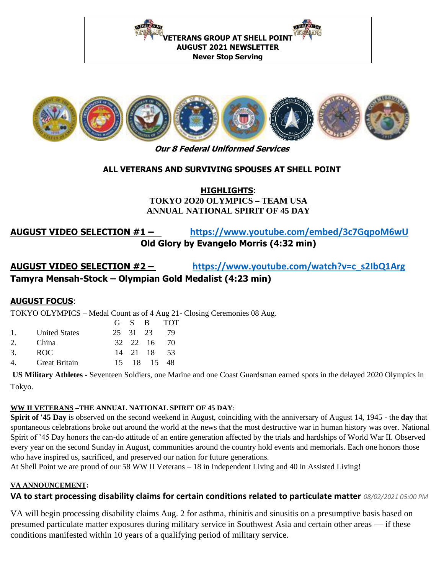**NEWS AREA** NATURE / AT DUR **ETERANS GROUP AT SHELL POIN AUGUST 2021 NEWSLETTER Never Stop Serving** 



**Our 8 Federal Uniformed Services** 

### **ALL VETERANS AND SURVIVING SPOUSES AT SHELL POINT**

### **HIGHLIGHTS**: **TOKYO 2O20 OLYMPICS – TEAM USA ANNUAL NATIONAL SPIRIT OF 45 DAY**

## **AUGUST VIDEO SELECTION #1 – <https://www.youtube.com/embed/3c7GqpoM6wU> Old Glory by Evangelo Morris (4:32 min)**

# **AUGUST VIDEO SELECTION #2 – [https://www.youtube.com/watch?v=c\\_s2IbQ1Arg](https://www.youtube.com/watch?v=c_s2IbQ1Arg) Tamyra Mensah-Stock – Olympian Gold Medalist (4:23 min)**

### **AUGUST FOCUS**:

TOKYO OLYMPICS – Medal Count as of 4 Aug 21- Closing Ceremonies 08 Aug.

|                |                      |  | G S B TOT   |  |
|----------------|----------------------|--|-------------|--|
|                | 1. United States     |  | 25 31 23 79 |  |
| $2^{\circ}$    | China                |  | 32 22 16 70 |  |
| 3              | ROC.                 |  | 14 21 18 53 |  |
| $\overline{4}$ | <b>Great Britain</b> |  | 15 18 15 48 |  |

**US Military Athletes** - Seventeen Soldiers, one Marine and one Coast Guardsman earned spots in the delayed 2020 Olympics in Tokyo.

### **WW II VETERANS –THE ANNUAL NATIONAL SPIRIT OF 45 DAY**:

**Spirit of '45 Day** is observed on the second weekend in August, coinciding with the anniversary of August 14, 1945 - the **day** that spontaneous celebrations broke out around the world at the news that the most destructive war in human history was over. National Spirit of '45 Day honors the can-do attitude of an entire generation affected by the trials and hardships of World War II. Observed every year on the second Sunday in August, communities around the country hold events and memorials. Each one honors those who have inspired us, sacrificed, and preserved our nation for future generations.

At Shell Point we are proud of our 58 WW II Veterans – 18 in Independent Living and 40 in Assisted Living!

### **VA ANNOUNCEMENT:**

### **VA to start processing disability claims for certain conditions related to particulate matter** *08/02/2021 05:00 PM*

VA will begin processing disability claims Aug. 2 for asthma, rhinitis and sinusitis on a presumptive basis based on presumed particulate matter exposures during military service in Southwest Asia and certain other areas — if these conditions manifested within 10 years of a qualifying period of military service.